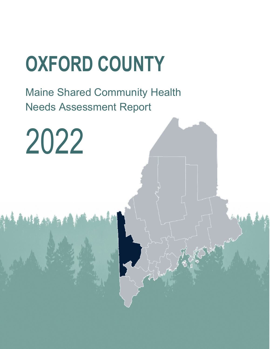## **OXFORD COUNTY**

Maine Shared Community Health Needs Assessment Report

2022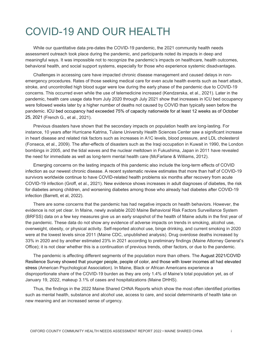## COVID-19 AND OUR HEALTH

While our quantitative data pre-dates the COVID-19 pandemic, the 2021 community health needs assessment outreach took place during the pandemic, and participants noted its impacts in deep and meaningful ways. It was impossible not to recognize the pandemic's impacts on healthcare, health outcomes, behavioral health, and social support systems, especially for those who experience systemic disadvantages.

Challenges in accessing care have impacted chronic disease management and caused delays in nonemergency procedures. Rates of those seeking medical care for even acute health events such as heart attack, stroke, and uncontrolled high blood sugar were low during the early phase of the pandemic due to COVID-19 concerns. This occurred even while the use of telemedicine increased (Kendzerska, et al., 2021). Later in the pandemic, health care usage data from July 2020 through July 2021 show that increases in ICU bed occupancy were followed weeks later by a higher number of deaths not caused by COVID than typically seen before the pandemic. ICU bed occupancy had exceeded 75% of capacity nationwide for at least 12 weeks as of October 25, 2021 (French G., et al., 2021).

Previous disasters have shown that the secondary impacts on population health are long-lasting. For instance, 10 years after Hurricane Katrina, Tulane University Health Sciences Center saw a significant increase in heart disease and related risk factors such as increases in A1C levels, blood pressure, and LDL cholesterol (Fonseca, et al., 2009). The after-effects of disasters such as the Iraqi occupation in Kuwait in 1990, the London bombings in 2005, and the tidal waves and the nuclear meltdown in Fukushima, Japan in 2011 have revealed the need for immediate as well as long-term mental health care (McFarlane & Williams, 2012).

Emerging concerns on the lasting impacts of this pandemic also include the long-term effects of COVID infection as our newest chronic disease. A recent systematic review estimates that more than half of COVID-19 survivors worldwide continue to have COVID-related health problems six months after recovery from acute COVID-19 infection (Groff, et al., 2021). New evidence shows increases in adult diagnoses of diabetes, the risk for diabetes among children, and worsening diabetes among those who already had diabetes after COVID-19 infection (Barrett, et al, 2022).

There are some concerns that the pandemic has had negative impacts on health behaviors. However, the evidence is not yet clear. In Maine, newly available 2020 Maine Behavioral Risk Factors Surveillance System (BRFSS) data on a few key measures give us an early snapshot of the health of Maine adults in the first year of the pandemic. These data do not show any evidence of adverse impacts on trends in smoking, alcohol use, overweight, obesity, or physical activity. Self-reported alcohol use, binge drinking, and current smoking in 2020 were at the lowest levels since 2011 (Maine CDC, unpublished analysis). Drug overdose deaths increased by 33% in 2020 and by another estimated 23% in 2021 according to preliminary findings (Maine Attorney General's Office); it is not clear whether this is a continuation of previous trends, other factors, or due to the pandemic.

The pandemic is affecting different segments of the population more than others. The August 2021/COVID Resilience Survey showed that younger people, people of color, and those with lower incomes all had elevated stress (American Psychological Association). In Maine, Black or African Americans experience a disproportionate share of the COVID-19 burden as they are only 1.4% of Maine's total population yet, as of January 19, 2022, makeup 3.1% of cases and hospitalizations (Maine DHHS).

Thus, the findings in the 2022 Maine Shared CHNA Reports which show the most often identified priorities such as mental health, substance and alcohol use, access to care, and social determinants of health take on new meaning and an increased sense of urgency.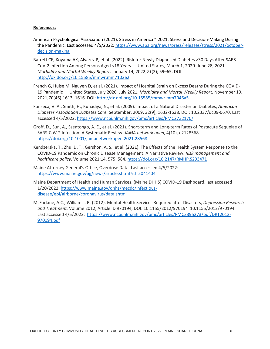#### **References:**

- American Psychological Association (2021). Stress in America™ 2021: Stress and Decision-Making During the Pandemic. Last accessed 4/5/2022[: https://www.apa.org/news/press/releases/stress/2021/october](https://www.apa.org/news/press/releases/stress/2021/october-decision-making)[decision-making](https://www.apa.org/news/press/releases/stress/2021/october-decision-making)
- Barrett CE, Koyama AK, Alvarez P, et al. (2022). Risk for Newly Diagnosed Diabetes >30 Days After SARS-CoV-2 Infection Among Persons Aged <18 Years — United States, March 1, 2020–June 28, 2021. *Morbidity and Mortal Weekly Report*. January 14, 2022;*71*(2); 59–65. DOI: <http://dx.doi.org/10.15585/mmwr.mm7102e2>
- French G, Hulse M, Nguyen D, et al. (2021). Impact of Hospital Strain on Excess Deaths During the COVID-19 Pandemic — United States, July 2020–July 2021. *Morbidity and Mortal Weekly Report*. November 19, 2021;70(46);1613–1616. DOI[: http://dx.doi.org/10.15585/mmwr.mm7046a5](http://dx.doi.org/10.15585/mmwr.mm7046a5)
- Fonseca, V. A., Smith, H., Kuhadiya, N., et al. (2009). Impact of a Natural Disaster on Diabetes, *American Diabetes Association Diabetes Care.* September, 2009. 32(9); 1632-1638, DOI: 10.2337/dc09-0670. Last accessed 4/5/2022[: https://www.ncbi.nlm.nih.gov/pmc/articles/PMC2732170/](https://www.ncbi.nlm.nih.gov/pmc/articles/PMC2732170/)
- Groff, D., Sun, A., Ssentongo, A. E., et al. (2021). Short-term and Long-term Rates of Postacute Sequelae of SARS-CoV-2 Infection: A Systematic Review. *JAMA network open*, 4(10), e2128568. <https://doi.org/10.1001/jamanetworkopen.2021.28568>
- Kendzerska, T., Zhu, D. T., Gershon, A. S., et al. (2021). The Effects of the Health System Response to the COVID-19 Pandemic on Chronic Disease Management: A Narrative Review. *Risk management and healthcare policy*. Volume 2021:14, 575–584.<https://doi.org/10.2147/RMHP.S293471>
- Maine Attorney General's Office, Overdose Data. Last accessed 4/5/2022: <https://www.maine.gov/ag/news/article.shtml?id=5041404>
- Maine Department of Health and Human Services, (Maine DHHS) COVID-19 Dashboard, last accessed 1/20/2022: [https://www.maine.gov/dhhs/mecdc/infectious](https://www.maine.gov/dhhs/mecdc/infectious-disease/epi/airborne/coronavirus/data.shtml)[disease/epi/airborne/coronavirus/data.shtml](https://www.maine.gov/dhhs/mecdc/infectious-disease/epi/airborne/coronavirus/data.shtml)
- McFarlane, A.C., Williams., R. (2012). Mental Health Services Required after Disasters, *Depression Research and Treatment.* Volume 2012, Article ID 970194, DOI: 10.1155/2012/970194 10.1155/2012/970194. Last accessed 4/5/2022: [https://www.ncbi.nlm.nih.gov/pmc/articles/PMC3395273/pdf/DRT2012-](https://www.ncbi.nlm.nih.gov/pmc/articles/PMC3395273/pdf/DRT2012-970194.pdf) [970194.pdf](https://www.ncbi.nlm.nih.gov/pmc/articles/PMC3395273/pdf/DRT2012-970194.pdf)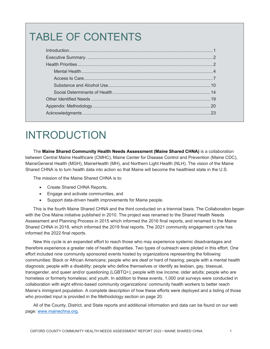## TABLE OF CONTENTS

## INTRODUCTION

The **Maine Shared Community Health Needs Assessment (Maine Shared CHNA)** is a collaboration between Central Maine Healthcare (CMHC), Maine Center for Disease Control and Prevention (Maine CDC), MaineGeneral Health (MGH), MaineHealth (MH), and Northern Light Health (NLH). The vision of the Maine Shared CHNA is to turn health data into action so that Maine will become the healthiest state in the U.S.

The mission of the Maine Shared CHNA is to:

- Create Shared CHNA Reports,
- Engage and activate communities, and
- Support data-driven health improvements for Maine people.

This is the fourth Maine Shared CHNA and the third conducted on a triennial basis. The Collaboration began with the One Maine initiative published in 2010. The project was renamed to the Shared Health Needs Assessment and Planning Process in 2015 which informed the 2016 final reports, and renamed to the Maine Shared CHNA in 2018, which informed the 2019 final reports. The 2021 community engagement cycle has informed the 2022 final reports.

New this cycle is an expanded effort to reach those who may experience systemic disadvantages and therefore experience a greater rate of health disparities. Two types of outreach were piloted in this effort. One effort included nine community sponsored events hosted by organizations representing the following communities: Black or African Americans; people who are deaf or hard of hearing; people with a mental health diagnosis; people with a disability; people who define themselves or identify as lesbian, gay, bisexual, transgender, and queer and/or questioning (LGBTQ+); people with low income; older adults; people who are homeless or formerly homeless; and youth. In addition to these events, 1,000 oral surveys were conducted in collaboration with eight ethnic-based community organizations' community health workers to better reach Maine's immigrant population. A complete description of how these efforts were deployed and a listing of those who provided input is provided in the Methodology section on page 20.

All of the County, District, and State reports and additional information and data can be found on our web page: [www.mainechna.org.](http://www.mainechna.org/)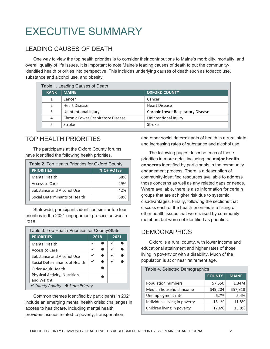## EXECUTIVE SUMMARY

#### LEADING CAUSES OF DEATH

One way to view the top health priorities is to consider their contributions to Maine's morbidity, mortality, and overall quality of life issues. It is important to note Maine's leading causes of death to put the communityidentified health priorities into perspective. This includes underlying causes of death such as tobacco use, substance and alcohol use, and obesity.

| Table 1. Leading Causes of Death |                                          |                                   |  |  |
|----------------------------------|------------------------------------------|-----------------------------------|--|--|
| <b>RANK</b>                      | <b>MAINE</b>                             | <b>OXFORD COUNTY</b>              |  |  |
|                                  | Cancer                                   | Cancer                            |  |  |
|                                  | <b>Heart Disease</b>                     | <b>Heart Disease</b>              |  |  |
| 3                                | Unintentional Injury                     | Chronic Lower Respiratory Disease |  |  |
| 4                                | <b>Chronic Lower Respiratory Disease</b> | Unintentional Injury              |  |  |
| 5.                               | Stroke                                   | Stroke                            |  |  |

#### TOP HEALTH PRIORITIES

The participants at the Oxford County forums have identified the following health priorities.

| Table 2. Top Health Priorities for Oxford County |            |  |  |  |
|--------------------------------------------------|------------|--|--|--|
| <b>PRIORITIES</b>                                | % OF VOTES |  |  |  |
| <b>Mental Health</b>                             | 58%        |  |  |  |
| Access to Care                                   | 49%        |  |  |  |
| Substance and Alcohol Use                        | 42%        |  |  |  |
| Social Determinants of Health                    | 38%        |  |  |  |

Statewide, participants identified similar top four priorities in the 2021 engagement process as was in 2018.

| Table 3. Top Health Priorities for County/State |  |      |      |  |  |
|-------------------------------------------------|--|------|------|--|--|
| <b>PRIORITIES</b>                               |  | 2018 | 2021 |  |  |
| <b>Mental Health</b>                            |  |      |      |  |  |
| Access to Care                                  |  |      | ✓    |  |  |
| Substance and Alcohol Use                       |  |      |      |  |  |
| Social Determinants of Health                   |  |      |      |  |  |
| Older Adult Health                              |  |      |      |  |  |
| Physical Activity, Nutrition,                   |  |      |      |  |  |
| and Weight                                      |  |      |      |  |  |
| <del></del> County Priority ● State Priority    |  |      |      |  |  |

Common themes identified by participants in 2021 include an emerging mental health crisis; challenges in access to healthcare, including mental health providers; issues related to poverty, transportation,

and other social determinants of health in a rural state; and increasing rates of substance and alcohol use.

The following pages describe each of these priorities in more detail including the **major health concerns** identified by participants in the community engagement process. There is a description of community-identified resources available to address those concerns as well as any related gaps or needs. Where available, there is also information for certain groups that are at higher risk due to systemic disadvantages. Finally, following the sections that discuss each of the health priorities is a listing of other health issues that were raised by community members but were not identified as priorities.

#### **DEMOGRAPHICS**

Oxford is a rural county, with lower income and educational attainment and higher rates of those living in poverty or with a disability. Much of the population is at or near retirement age.

| Table 4. Selected Demographics |               |              |
|--------------------------------|---------------|--------------|
|                                | <b>COUNTY</b> | <b>MAINE</b> |
| Population numbers             | 57,550        | 1.34M        |
| Median household income        | \$49,204      | \$57,918     |
| Unemployment rate              | 6.7%          | 5.4%         |
| Individuals living in poverty  | 15.1%         | 11.8%        |
| Children living in poverty     | 17.6%         | 13.8%        |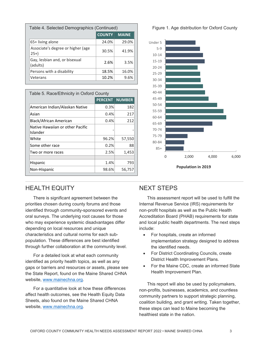| Table 4. Selected Demographics (Continued) |               |              |  |  |
|--------------------------------------------|---------------|--------------|--|--|
|                                            | <b>COUNTY</b> | <b>MAINE</b> |  |  |
| 65+ living alone                           | 24.0%         | 29.0%        |  |  |
| Associate's degree or higher (age<br>$25+$ | 30.5%         | 41.9%        |  |  |
| Gay, lesbian and, or bisexual<br>(adults)  | 2.6%          | 3.5%         |  |  |
| Persons with a disability                  | 18.5%         | 16.0%        |  |  |
| Veterans                                   | 10.2%         | 9.6%         |  |  |

| Table 5. Race/Ethnicity in Oxford County     |       |                       |  |  |
|----------------------------------------------|-------|-----------------------|--|--|
|                                              |       | <b>PERCENT NUMBER</b> |  |  |
| American Indian/Alaskan Native               | 0.3%  | 182                   |  |  |
| Asian                                        | 0.4%  | 217                   |  |  |
| Black/African American                       | 0.4%  | 212                   |  |  |
| Native Hawaiian or other Pacific<br>Islander |       |                       |  |  |
| White                                        | 96.2% | 57,550                |  |  |
| Some other race                              | 0.2%  | 88                    |  |  |
| Two or more races                            | 2.5%  | 1,453                 |  |  |
| Hispanic                                     | 1.4%  | 793                   |  |  |
| Non-Hispanic                                 | 98.6% | 56,757                |  |  |

#### HEALTH EQUITY

There is significant agreement between the priorities chosen during county forums and those identified through community-sponsored events and oral surveys. The underlying root causes for those who may experience systemic disadvantages differ depending on local resources and unique characteristics and cultural norms for each subpopulation. These differences are best identified through further collaboration at the community level.

For a detailed look at what each community identified as priority health topics, as well as any gaps or barriers and resources or assets, please see the State Report, found on the Maine Shared CHNA website, [www.mainechna.org.](http://www.mainechna.org/)

For a quantitative look at how these differences affect health outcomes, see the Health Equity Data Sheets, also found on the Maine Shared CHNA website, [www.mainechna.org.](http://www.mainechna.org/)

#### Figure 1. Age distribution for Oxford County



#### NEXT STEPS

This assessment report will be used to fulfill the Internal Revenue Service (IRS) requirements for non-profit hospitals as well as the Public Health Accreditation Board (PHAB) requirements for state and local public health departments. The next steps include:

- For hospitals, create an informed implementation strategy designed to address the identified needs.
- For District Coordinating Councils, create District Health Improvement Plans.
- For the Maine CDC, create an informed State Health Improvement Plan.

This report will also be used by policymakers, non-profits, businesses, academics, and countless community partners to support strategic planning, coalition building, and grant writing. Taken together, these steps can lead to Maine becoming the healthiest state in the nation.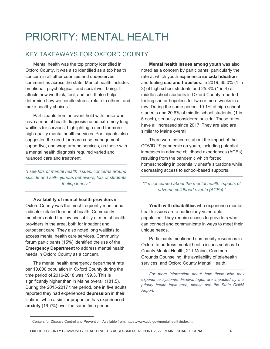## PRIORITY: MENTAL HEALTH

#### KEY TAKEAWAYS FOR OXFORD COUNTY

Mental health was the top priority identified in Oxford County. It was also identified as a top health concern in all other counties and underserved communities across the state. Mental health includes emotional, psychological, and social well-being. It affects how we think, feel, and act. It also helps determine how we handle stress, relate to others, and make healthy choices. [1](#page-6-0)

Participants from an event held with those who have a mental health diagnosis noted extremely long waitlists for services, highlighting a need for more high-quality mental health services. Participants also suggested the need for more case management, supportive, and wrap-around services, as those with a mental health diagnosis required varied and nuanced care and treatment.

*"I see lots of mental health issues, concerns around suicide and self-injurious behaviors, lots of students feeling lonely."*

**Availability of mental health providers** in Oxford County was the most frequently mentioned indicator related to mental health. Community members noted the low availability of mental health providers in the area, both for inpatient and outpatient care. They also noted long waitlists to access mental health care services. Community forum participants (15%) identified the use of the **Emergency Department** to address mental health needs in Oxford County as a concern.

The mental health emergency department rate per 10,000 population in Oxford County during the time period of 2016-2018 was 199.3. This is significantly higher than in Maine overall (181.5). During the 2015-2017 time period, one in five adults reported they had experienced **depression** in their lifetime, while a similar proportion has experienced **anxiety** (19.7%) over the same time period.

**Mental health issues among youth** was also noted as a concern by participants, particularly the rate at which youth experience **suicidal ideation** and feeling **sad and hopeless**. In 2019, 35.0% (1 in 3) of high school students and 25.3% (1 in 4) of middle school students in Oxford County reported feeling sad or hopeless for two or more weeks in a row. During the same period, 19.1% of high school students and 20.8% of middle school students, (1 in 5 each), seriously considered suicide. These rates have all increased since 2017. They are also are similar to Maine overall.

There were concerns about the impact of the COVID-19 pandemic on youth, including potential increases in adverse childhood experiences (ACEs) resulting from the pandemic which forced homeschooling in potentially unsafe situations while decreasing access to school-based supports.

*"I'm concerned about the mental health impacts of adverse childhood events (ACEs)."*

**Youth with disabilities** who experience mental health issues are a particularly vulnerable population. They require access to providers who can connect and communicate in ways to meet their unique needs.

Participants mentioned community resources in Oxford to address mental health issues such as Tri-County Mental Health, 211 Maine, Common Grounds Counseling, the availability of telehealth services, and Oxford County Mental Health.

*For more information about how those who may experience systemic disadvantages are impacted by this priority health topic area, please see the State CHNA Report.*

<span id="page-6-0"></span> <sup>1</sup> Centers for Disease Control and Prevention. Available from: https://www.cdc.gov/mentalhealth/index.htm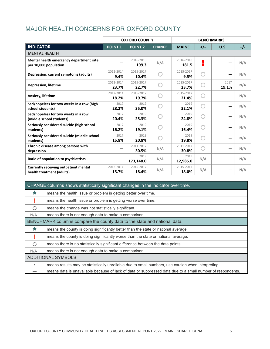#### MAJOR HEALTH CONCERNS FOR OXFORD COUNTY

|                                                                           | <b>OXFORD COUNTY</b> |                    |               | <b>BENCHMARKS</b>  |       |               |       |
|---------------------------------------------------------------------------|----------------------|--------------------|---------------|--------------------|-------|---------------|-------|
| <b>INDICATOR</b>                                                          | <b>POINT 1</b>       | <b>POINT 2</b>     | <b>CHANGE</b> | <b>MAINE</b>       | $+/-$ | U.S.          | $+/-$ |
| <b>MENTAL HEALTH</b>                                                      |                      |                    |               |                    |       |               |       |
| Mental health emergency department rate<br>per 10,000 population          |                      | 2016-2018<br>199.3 | N/A           | 2016-2018<br>181.5 | n.    |               | N/A   |
| Depression, current symptoms (adults)                                     | 2012-2014<br>9.4%    | 2015-2017<br>10.4% |               | 2015-2017<br>9.5%  |       |               | N/A   |
| <b>Depression, lifetime</b>                                               | 2012-2014<br>23.7%   | 2015-2017<br>22.7% |               | 2015-2017<br>23.7% |       | 2017<br>19.1% | N/A   |
| Anxiety, lifetime                                                         | 2012-2014<br>18.2%   | 2015-2017<br>19.7% |               | 2015-2017<br>21.4% |       |               | N/A   |
| Sad/hopeless for two weeks in a row (high<br>school students)             | 2017<br>28.2%        | 2019<br>35.0%      |               | 2019<br>32.1%      |       |               | N/A   |
| Sad/hopeless for two weeks in a row<br>(middle school students)           | 2017<br>20.4%        | 2019<br>25.3%      |               | 2019<br>24.8%      |       |               | N/A   |
| Seriously considered suicide (high school<br>students)                    | 2017<br>16.2%        | 2019<br>19.1%      |               | 2019<br>16.4%      |       |               | N/A   |
| Seriously considered suicide (middle school<br>students)                  | 2017<br>15.8%        | 2019<br>20.8%      |               | 2019<br>19.8%      |       |               | N/A   |
| Chronic disease among persons with<br>depression                          |                      | 2011-2017<br>30.5% | N/A           | 2011-2017<br>30.8% |       |               | N/A   |
| Ratio of population to psychiatrists                                      |                      | 2019<br>173,148.0  | N/A           | 2019<br>12,985.0   | N/A   |               | N/A   |
| <b>Currently receiving outpatient mental</b><br>health treatment (adults) | 2012-2014<br>15.7%   | 2015-2017<br>18.4% | N/A           | 2015-2017<br>18.0% | N/A   |               | N/A   |

|         | CHANGE columns shows statistically significant changes in the indicator over time.                         |
|---------|------------------------------------------------------------------------------------------------------------|
| ★       | means the health issue or problem is getting better over time.                                             |
|         | means the health issue or problem is getting worse over time.                                              |
| ∩       | means the change was not statistically significant.                                                        |
| N/A     | means there is not enough data to make a comparison.                                                       |
|         | BENCHMARK columns compare the county data to the state and national data.                                  |
| ŵ       | means the county is doing significantly better than the state or national average.                         |
|         | means the county is doing significantly worse than the state or national average.                          |
| ∩       | means there is no statistically significant difference between the data points.                            |
| N/A     | means there is not enough data to make a comparison.                                                       |
|         | <b>ADDITIONAL SYMBOLS</b>                                                                                  |
| $\star$ | means results may be statistically unreliable due to small numbers, use caution when interpreting.         |
|         | means data is unavailable because of lack of data or suppressed data due to a small number of respondents. |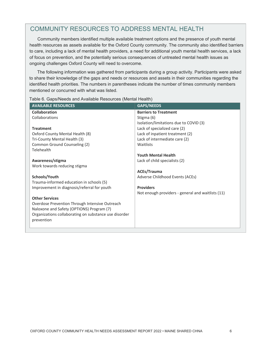#### COMMUNITY RESOURCES TO ADDRESS MENTAL HEALTH

Community members identified multiple available treatment options and the presence of youth mental health resources as assets available for the Oxford County community. The community also identified barriers to care, including a lack of mental health providers, a need for additional youth mental health services, a lack of focus on prevention, and the potentially serious consequences of untreated mental health issues as ongoing challenges Oxford County will need to overcome.

The following information was gathered from participants during a group activity. Participants were asked to share their knowledge of the gaps and needs or resources and assets in their communities regarding the identified health priorities. The numbers in parentheses indicate the number of times community members mentioned or concurred with what was listed.

| <b>AVAILABLE RESOURCES</b>                            | <b>GAPS/NEEDS</b>                                 |
|-------------------------------------------------------|---------------------------------------------------|
| Collaboration                                         | <b>Barriers to Treatment</b>                      |
| Collaborations                                        | Stigma (6)                                        |
|                                                       | Isolation/limitations due to COVID (3)            |
| <b>Treatment</b>                                      | Lack of specialized care (2)                      |
| Oxford County Mental Health (8)                       | Lack of inpatient treatment (2)                   |
| Tri-County Mental Health (3)                          | Lack of intermediate care (2)                     |
| Common Ground Counseling (2)                          | Waitlists                                         |
| Telehealth                                            |                                                   |
|                                                       | <b>Youth Mental Health</b>                        |
| Awareness/stigma                                      | Lack of child specialists (2)                     |
| Work towards reducing stigma                          |                                                   |
|                                                       | <b>ACEs/Trauma</b>                                |
| Schools/Youth                                         | Adverse Childhood Events (ACEs)                   |
| Trauma-informed education in schools (5)              |                                                   |
| Improvement in diagnosis/referral for youth           | <b>Providers</b>                                  |
|                                                       | Not enough providers - general and waitlists (11) |
| <b>Other Services</b>                                 |                                                   |
| Overdose Prevention Through Intensive Outreach        |                                                   |
| Naloxone and Safety (OPTIONS) Program (7)             |                                                   |
| Organizations collaborating on substance use disorder |                                                   |
| prevention                                            |                                                   |
|                                                       |                                                   |
|                                                       |                                                   |

Table 6. Gaps/Needs and Available Resources (Mental Health)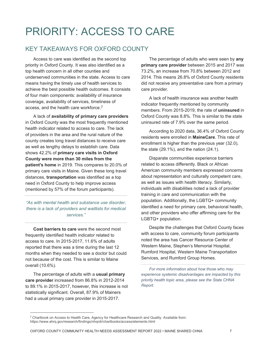## PRIORITY: ACCESS TO CARE

#### KEY TAKEAWAYS FOR OXFORD COUNTY

Access to care was identified as the second top priority in Oxford County. It was also identified as a top health concern in all other counties and underserved communities in the state. Access to care means having the timely use of health services to achieve the best possible health outcomes. It consists of four main components: availability of insurance coverage, availability of services, timeliness of access, and the health care workforce. [2](#page-9-0)

A lack of **availability of primary care providers** in Oxford County was the most frequently mentioned health indicator related to access to care. The lack of providers in the area and the rural nature of the county creates long travel distances to receive care as well as lengthy delays to establish care. Data shows 42.2% of **primary care visits in Oxford County were more than 30 miles from the patient's home** in 2019. This compares to 20.0% of primary care visits in Maine. Given these long travel distances, **transportation** was identified as a top need in Oxford County to help improve access (mentioned by 57% of the forum participants).

*"As with mental health and substance use disorder, there is a lack of providers and waitlists for medical services."*

**Cost barriers to care** were the second most frequently identified health indicator related to access to care. In 2015-2017, 11.6% of adults reported that there was a time during the last 12 months when they needed to see a doctor but could not because of the cost. This is similar to Maine overall (10.6%).

The percentage of adults with a **usual primary care provider** increased from 86.8% in 2012-2014 to 89.1% in 2015-2017, however, this increase is not statistically significant. Overall, 87.9% of Mainers had a usual primary care provider in 2015-2017.

The percentage of adults who were seen by **any primary care provider** between 2015 and 2017 was 73.2%, an increase from 70.8% between 2012 and 2014. This means 26.8% of Oxford County residents did not receive any preventative care from a primary care provider.

A lack of health insurance was another health indicator frequently mentioned by community members. From 2015-2019, the rate of **uninsured** in Oxford County was 8.8%. This is similar to the state uninsured rate of 7.9% over the same period.

According to 2020 data, 36.4% of Oxford County residents were enrolled in **MaineCare**. This rate of enrollment is higher than the previous year (32.0), the state (29.1%), and the nation (24.1).

Disparate communities experience barriers related to access differently. Black or African American community members expressed concerns about representation and culturally competent care, as well as issues with health literacy. Similarly, individuals with disabilities noted a lack of provider training in care and communication with the population. Additionally, the LGBTQ+ community identified a need for primary care, behavioral health, and other providers who offer affirming care for the LGBTQ+ population.

Despite the challenges that Oxford County faces with access to care, community forum participants noted the area has Cancer Resource Center of Western Maine, Stephen's Memorial Hospital, Rumford Hospital, Western Maine Transportation Services, and Rumford Group Homes.

*For more information about how those who may experience systemic disadvantages are impacted by this priority health topic area, please see the State CHNA Report.*

<span id="page-9-0"></span><sup>&</sup>lt;sup>2</sup> Chartbook on Access to Health Care, Agency for Healthcare Research and Quality. Available from: https://www.ahrq.gov/research/findings/nhqrdr/chartbooks/access/elements.html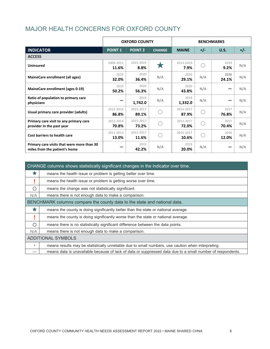#### MAJOR HEALTH CONCERNS FOR OXFORD COUNTY

|                                                                             | <b>OXFORD COUNTY</b> |                    |               |                    |       |               | <b>BENCHMARKS</b> |  |
|-----------------------------------------------------------------------------|----------------------|--------------------|---------------|--------------------|-------|---------------|-------------------|--|
| <b>INDICATOR</b>                                                            | <b>POINT 1</b>       | <b>POINT 2</b>     | <b>CHANGE</b> | <b>MAINE</b>       | $+/-$ | U.S.          | $+/-$             |  |
| <b>ACCESS</b>                                                               |                      |                    |               |                    |       |               |                   |  |
| <b>Uninsured</b>                                                            | 2009-2011<br>11.6%   | 2015-2019<br>8.8%  |               | 2015-2019<br>7.9%  |       | 2019<br>9.2%  | N/A               |  |
| MaineCare enrollment (all ages)                                             | 2019<br>32.0%        | 2020<br>36.4%      | N/A           | 2020<br>29.1%      | N/A   | 2020<br>24.1% | N/A               |  |
| MaineCare enrollment (ages 0-19)                                            | 2019<br>50.2%        | 2020<br>56.3%      | N/A           | 2020<br>43.8%      | N/A   |               | N/A               |  |
| Ratio of population to primary care<br>physicians                           |                      | 2019<br>1,742.0    | N/A           | 2019<br>1,332.0    | N/A   |               | N/A               |  |
| Usual primary care provider (adults)                                        | 2012-2014<br>86.8%   | 2015-2017<br>89.1% |               | 2015-2017<br>87.9% |       | 2017<br>76.8% | N/A               |  |
| Primary care visit to any primary care<br>provider in the past year         | 2012-2014<br>70.8%   | 2015-2017<br>73.2% |               | 2015-2017<br>72.0% |       | 2017<br>70.4% | N/A               |  |
| Cost barriers to health care                                                | 2011-2013<br>13.0%   | 2015-2017<br>11.6% |               | 2015-2017<br>10.6% |       | 2016<br>12.0% | N/A               |  |
| Primary care visits that were more than 30<br>miles from the patient's home |                      | 2019<br>42.2%      | N/A           | 2019<br>20.0%      | N/A   |               | N/A               |  |

|         | CHANGE columns shows statistically significant changes in the indicator over time.                         |
|---------|------------------------------------------------------------------------------------------------------------|
|         | means the health issue or problem is getting better over time.                                             |
|         | means the health issue or problem is getting worse over time.                                              |
| ∩       | means the change was not statistically significant.                                                        |
| N/A     | means there is not enough data to make a comparison.                                                       |
|         | BENCHMARK columns compare the county data to the state and national data.                                  |
|         | means the county is doing significantly better than the state or national average.                         |
|         | means the county is doing significantly worse than the state or national average.                          |
| ∩       | means there is no statistically significant difference between the data points.                            |
| N/A     | means there is not enough data to make a comparison.                                                       |
|         | <b>ADDITIONAL SYMBOLS</b>                                                                                  |
| $\star$ | means results may be statistically unreliable due to small numbers, use caution when interpreting.         |
|         | means data is unavailable because of lack of data or suppressed data due to a small number of respondents. |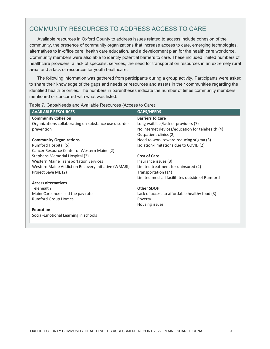#### COMMUNITY RESOURCES TO ADDRESS ACCESS TO CARE

Available resources in Oxford County to address issues related to access include cohesion of the community, the presence of community organizations that increase access to care, emerging technologies, alternatives to in-office care, health care education, and a development plan for the health care workforce. Community members were also able to identify potential barriers to care. These included limited numbers of healthcare providers, a lack of specialist services, the need for transportation resources in an extremely rural area, and a lack of resources for youth healthcare.

The following information was gathered from participants during a group activity. Participants were asked to share their knowledge of the gaps and needs or resources and assets in their communities regarding the identified health priorities. The numbers in parentheses indicate the number of times community members mentioned or concurred with what was listed.

| <b>AVAILABLE RESOURCES</b>                            | <b>GAPS/NEEDS</b>                                |
|-------------------------------------------------------|--------------------------------------------------|
| <b>Community Cohesion</b>                             | <b>Barriers to Care</b>                          |
| Organizations collaborating on substance use disorder | Long waitlists/lack of providers (7)             |
| prevention                                            | No internet devices/education for telehealth (4) |
|                                                       | Outpatient clinics (2)                           |
| <b>Community Organizations</b>                        | Need to work toward reducing stigma (3)          |
| Rumford Hospital (5)                                  | Isolation/limitations due to COVID (2)           |
| Cancer Resource Center of Western Maine (2)           |                                                  |
| Stephens Memorial Hospital (2)                        | <b>Cost of Care</b>                              |
| <b>Western Maine Transportation Services</b>          | Insurance issues (3)                             |
| Western Maine Addiction Recovery Initiative (WMARI)   | Limited treatment for uninsured (2)              |
| Project Save ME (2)                                   | Transportation (14)                              |
|                                                       | Limited medical facilitates outside of Rumford   |
| <b>Access alternatives</b>                            |                                                  |
| Telehealth                                            | <b>Other SDOH</b>                                |
| MaineCare increased the pay rate                      | Lack of access to affordable healthy food (3)    |
| <b>Rumford Group Homes</b>                            | Poverty                                          |
|                                                       | Housing issues                                   |
| <b>Education</b>                                      |                                                  |
| Social-Emotional Learning in schools                  |                                                  |
|                                                       |                                                  |

Table 7. Gaps/Needs and Available Resources (Access to Care)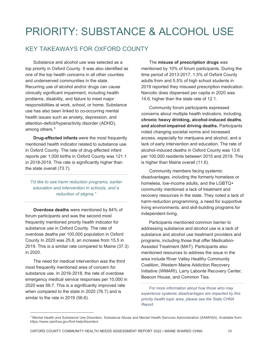## PRIORITY: SUBSTANCE & ALCOHOL USE

#### KEY TAKEAWAYS FOR OXFORD COUNTY

Substance and alcohol use was selected as a top priority in Oxford County. It was also identified as one of the top health concerns in all other counties and underserved communities in the state. Recurring use of alcohol and/or drugs can cause clinically significant impairment, including health problems, disability, and failure to meet major responsibilities at work, school, or home. Substance use has also been linked to co-occurring mental health issues such as anxiety, depression, and attention-deficit/hyperactivity disorder (ADHD), among others. $^3$  $^3$ 

**Drug-affected infants** were the most frequently mentioned health indicator related to substance use in Oxford County. The rate of drug-affected infant reports per 1,000 births in Oxford County was 121.1 in 2018-2019. This rate is significantly higher than the state overall (73.7).

*"I'd like to see harm reduction programs, earlier education and intervention in schools, and a reduction of stigma."*

**Overdose deaths** were mentioned by 84% of forum participants and was the second most frequently mentioned priority health indicator for substance use in Oxford County. The rate of overdose deaths per 100,000 population in Oxford County In 2020 was 25.8, an increase from 15.5 in 2019. This is a similar rate compared to Maine (37.3) in 2020.

The need for medical intervention was the third most frequently mentioned area of concern for substance use. In 2016-2018, the rate of overdose emergency medical service responses per 10,000 in 2020 was 59.7. This is a significantly improved rate when compared to the state in 2020 (76.7) and is similar to the rate in 2019 (56.6).

The **misuse of prescription drugs** was mentioned by 10% of forum participants. During the time period of 2013-2017, 1.5% of Oxford County adults from and 5.5% of high school students in 2019 reported they misused prescription medication. Narcotic does dispensed per capita in 2020 was 14.6, higher than the state rate of 12.1.

Community forum participants expressed concerns about multiple health indicators, including, **chronic heavy drinking, alcohol-induced deaths**, **and alcohol-impaired driving deaths.** Participants noted changing societal norms and increased access, especially for marijuana and alcohol, and a lack of early intervention and education. The rate of alcohol-induced deaths in Oxford County was 13.6 per 100,000 residents between 2015 and 2019. This is higher than Maine overall (11.6).

Community members facing systemic disadvantages, including the formerly homeless or homeless, low-income adults, and the LGBTQ+ community mentioned a lack of treatment and recovery resources in the state. They noted a lack of harm-reduction programming, a need for supportive living environments, and skill-building programs for independent living.

Participants mentioned common barrier to addressing substance and alcohol use is a lack of substance and alcohol use treatment providers and programs, including those that offer Medication-Assisted Treatment (MAT). Participants also mentioned resources to address the issue in the area include River Valley Healthy Community Coalition, Western Maine Addiction Recovery Initiative (WMARI), Larry Labonte Recovery Center, Beacon House, and Common Ties.

*For more information about how those who may experience systemic disadvantages are impacted by this priority health topic area, please see the State CHNA Report.*

<span id="page-12-0"></span> <sup>3</sup> Mental Health and Substance Use Disorders. Substance Abuse and Mental Health Services Administration (SAMHSA). Available from: https://www.samhsa.gov/find-help/disorders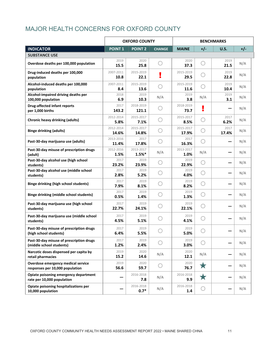#### MAJOR HEALTH CONCERNS FOR OXFORD COUNTY

|                                                                       |                    | <b>OXFORD COUNTY</b>  |               | <b>BENCHMARKS</b>  |       |               |       |  |
|-----------------------------------------------------------------------|--------------------|-----------------------|---------------|--------------------|-------|---------------|-------|--|
| <b>INDICATOR</b>                                                      | <b>POINT 1</b>     | <b>POINT 2</b>        | <b>CHANGE</b> | <b>MAINE</b>       | $+/-$ | U.S.          | $+/-$ |  |
| <b>SUBSTANCE USE</b>                                                  |                    |                       |               |                    |       |               |       |  |
| Overdose deaths per 100,000 population                                | 2019<br>15.5       | 2020<br>25.8          |               | 2020<br>37.3       |       | 2019<br>21.5  | N/A   |  |
| Drug-induced deaths per 100,000<br>population                         | 2007-2011<br>10.8  | 2015-2019<br>22.1     | ū             | 2015-2019<br>29.5  |       | 2019<br>22.8  | N/A   |  |
| Alcohol-induced deaths per 100,000<br>population                      | 2007-2011<br>8.4   | 2015-2019<br>13.6     | O             | 2015-2019<br>11.6  | 〔 〕   | 2019<br>10.4  | N/A   |  |
| Alcohol-impaired driving deaths per<br>100,000 population             | 2018<br>6.9        | 2019<br>10.3          | N/A           | 2019<br>3.8        | N/A   | 2019<br>3.1   | N/A   |  |
| <b>Drug-affected infant reports</b><br>per 1,000 births               | 2017<br>143.2      | 2018-2019<br>121.1    |               | 2018-2019<br>73.7  | ľ     |               | N/A   |  |
| <b>Chronic heavy drinking (adults)</b>                                | 2012-2014<br>5.8%  | 2015-2017<br>7.1%     |               | 2015-2017<br>8.5%  |       | 2017<br>6.2%  | N/A   |  |
| <b>Binge drinking (adults)</b>                                        | 2012-2014<br>14.6% | 2015-2017<br>14.8%    |               | 2015-2017<br>17.9% |       | 2017<br>17.4% | N/A   |  |
| Past-30-day marijuana use (adults)                                    | 2013-2016<br>11.4% | 2017<br>17.8%         |               | 2017<br>16.3%      |       |               | N/A   |  |
| Past-30-day misuse of prescription drugs<br>(adult)                   | 2012-2016<br>1.5%  | 2013-2017<br>$1.5%$ * | N/A           | 2013-2017<br>1.0%  | N/A   |               | N/A   |  |
| Past-30-day alcohol use (high school<br>students)                     | 2017<br>23.2%      | 2019<br>23.9%         |               | 2019<br>22.9%      |       |               | N/A   |  |
| Past-30-day alcohol use (middle school<br>students)                   | 2017<br>2.8%       | 2019<br>5.2%          |               | 2019<br>4.0%       |       |               | N/A   |  |
| <b>Binge drinking (high school students)</b>                          | 2017<br>7.9%       | 2019<br>8.1%          |               | 2019<br>8.2%       |       |               | N/A   |  |
| <b>Binge drinking (middle school students)</b>                        | 2017<br>0.5%       | 2019<br>1.4%          |               | 2019<br>1.3%       |       |               | N/A   |  |
| Past-30-day marijuana use (high school<br>students)                   | 2017<br>22.7%      | 2019<br>24.1%         |               | 2019<br>22.1%      |       |               | N/A   |  |
| Past-30-day marijuana use (middle school<br>students)                 | 2017<br>4.5%       | 2019<br>5.1%          |               | 2019<br>4.1%       |       |               | N/A   |  |
| Past-30-day misuse of prescription drugs<br>(high school students)    | 2017<br>6.4%       | 2019<br>5.5%          |               | 2019<br>5.0%       |       |               | N/A   |  |
| Past-30-day misuse of prescription drugs<br>(middle school students)  | 2017<br>1.2%       | 2019<br>2.4%          |               | 2019<br>3.0%       |       |               | N/A   |  |
| Narcotic doses dispensed per capita by<br>retail pharmacies           | 2019<br>15.2       | 2020<br>14.6          | N/A           | 2020<br>12.1       | N/A   |               | N/A   |  |
| Overdose emergency medical service<br>responses per 10,000 population | 2019<br>56.6       | 2020<br>59.7          |               | 2020<br>76.7       | 大     |               | N/A   |  |
| Opiate poisoning emergency department<br>rate per 10,000 population   |                    | 2016-2018<br>7.8      | N/A           | 2016-2018<br>9.9   | 大     |               | N/A   |  |
| Opiate poisoning hospitalizations per<br>10,000 population            |                    | 2016-2018<br>$0.7*$   | N/A           | 2016-2018<br>1.4   |       |               | N/A   |  |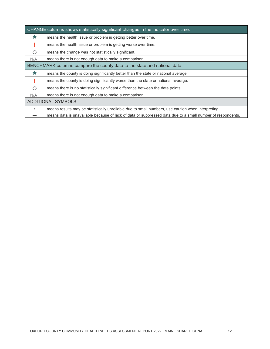|         | CHANGE columns shows statistically significant changes in the indicator over time.                         |
|---------|------------------------------------------------------------------------------------------------------------|
| ★       | means the health issue or problem is getting better over time.                                             |
|         | means the health issue or problem is getting worse over time.                                              |
| ∩       | means the change was not statistically significant.                                                        |
| N/A     | means there is not enough data to make a comparison.                                                       |
|         | BENCHMARK columns compare the county data to the state and national data.                                  |
| ★       | means the county is doing significantly better than the state or national average.                         |
|         | means the county is doing significantly worse than the state or national average.                          |
| O       | means there is no statistically significant difference between the data points.                            |
| N/A     | means there is not enough data to make a comparison.                                                       |
|         | <b>ADDITIONAL SYMBOLS</b>                                                                                  |
| $\star$ | means results may be statistically unreliable due to small numbers, use caution when interpreting.         |
|         | means data is unavailable because of lack of data or suppressed data due to a small number of respondents. |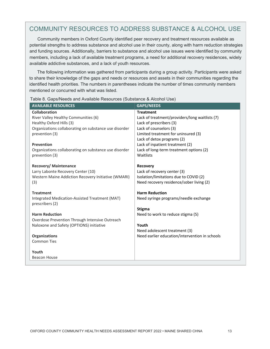#### COMMUNITY RESOURCES TO ADDRESS SUBSTANCE & ALCOHOL USE

Community members in Oxford County identified peer recovery and treatment resources available as potential strengths to address substance and alcohol use in their county, along with harm reduction strategies and funding sources. Additionally, barriers to substance and alcohol use issues were identified by community members, including a lack of available treatment programs, a need for additional recovery residences, widely available addictive substances, and a lack of youth resources.

The following information was gathered from participants during a group activity. Participants were asked to share their knowledge of the gaps and needs or resources and assets in their communities regarding the identified health priorities. The numbers in parentheses indicate the number of times community members mentioned or concurred with what was listed.

| <b>AVAILABLE RESOURCES</b>                                              | <b>GAPS/NEEDS</b>                                             |
|-------------------------------------------------------------------------|---------------------------------------------------------------|
| <b>Collaboration</b>                                                    | <b>Treatment</b>                                              |
| River Valley Healthy Communities (6)                                    | Lack of treatment/providers/long waitlists (7)                |
| Healthy Oxford Hills (3)                                                | Lack of prescribers (3)                                       |
| Organizations collaborating on substance use disorder<br>prevention (3) | Lack of counselors (3)<br>Limited treatment for uninsured (3) |
|                                                                         | Lack of detox programs (2)                                    |
| <b>Prevention</b>                                                       | Lack of inpatient treatment (2)                               |
| Organizations collaborating on substance use disorder                   | Lack of long-term treatment options (2)                       |
| prevention (3)                                                          | Waitlists                                                     |
|                                                                         |                                                               |
| <b>Recovery/ Maintenance</b><br>Larry Labonte Recovery Center (10)      | Recovery<br>Lack of recovery center (3)                       |
| Western Maine Addiction Recovery Initiative (WMARI)                     | Isolation/limitations due to COVID (2)                        |
| (3)                                                                     | Need recovery residence/sober living (2)                      |
|                                                                         |                                                               |
| <b>Treatment</b>                                                        | <b>Harm Reduction</b>                                         |
| Integrated Medication-Assisted Treatment (MAT)<br>prescribers (2)       | Need syringe programs/needle exchange                         |
|                                                                         | <b>Stigma</b>                                                 |
| <b>Harm Reduction</b>                                                   | Need to work to reduce stigma (5)                             |
| Overdose Prevention Through Intensive Outreach                          |                                                               |
| Naloxone and Safety (OPTIONS) initiative                                | Youth                                                         |
|                                                                         | Need adolescent treatment (3)                                 |
| <b>Organizations</b><br><b>Common Ties</b>                              | Need earlier education/intervention in schools                |
|                                                                         |                                                               |
| Youth                                                                   |                                                               |
| <b>Beacon House</b>                                                     |                                                               |
|                                                                         |                                                               |

Table 8. Gaps/Needs and Available Resources (Substance & Alcohol Use)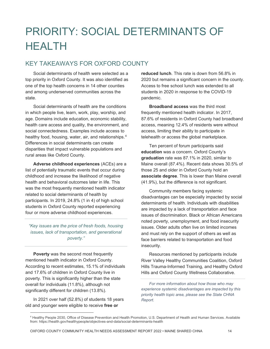## PRIORITY: SOCIAL DETERMINANTS OF HEALTH

#### KEY TAKEAWAYS FOR OXFORD COUNTY

Social determinants of health were selected as a top priority in Oxford County. It was also identified as one of the top health concerns in 14 other counties and among underserved communities across the state.

Social determinants of health are the conditions in which people live, learn, work, play, worship, and age. Domains include education, economic stability, health care access and quality, the environment, and social connectedness. Examples include access to healthy food, housing, water, air, and relationships.<sup>[4](#page-16-0)</sup> Differences in social determinants can create disparities that impact vulnerable populations and rural areas like Oxford County.

**Adverse childhood experiences** (ACEs) are a list of potentially traumatic events that occur during childhood and increase the likelihood of negative health and behavioral outcomes later in life. This was the most frequently mentioned health indicator related to social determinants of health by participants. In 2019, 24.8% (1 in 4) of high school students in Oxford County reported experiencing four or more adverse childhood experiences.

*"Key issues are the price of fresh foods, housing issues, lack of transportation, and generational poverty."*

**Poverty** was the second most frequently mentioned health indicator in Oxford County. According to recent estimates, 15.1% of individuals and 17.6% of children in Oxford County live in poverty. This is significantly higher than the state overall for individuals (11.8%), although not significantly different for children (13.8%).

In 2021 over half (52.8%) of students 18 years old and younger were eligible to receive **free or** 

**reduced lunch**. This rate is down from 56.8% in 2020 but remains a significant concern in the county. Access to free school lunch was extended to all students in 2020 in response to the COVID-19 pandemic.

**Broadband access** was the third most frequently mentioned health indicator. In 2017, 87.6% of residents in Oxford County had broadband access, meaning 12.4% of residents were without access, limiting their ability to participate in telehealth or access the global marketplace.

Ten percent of forum participants said **education** was a concern. Oxford County's **graduation** rate was 87.1% in 2020, similar to Maine overall (87.4%). Recent data shows 30.5% of those 25 and older in Oxford County hold an **associate degree**. This is lower than Maine overall (41.9%), but the difference is not significant.

Community members facing systemic disadvantages can be especially impacted by social determinants of health. Individuals with disabilities are impacted by a lack of transportation and face issues of discrimination. Black or African Americans noted poverty, unemployment, and food insecurity issues. Older adults often live on limited incomes and must rely on the support of others as well as face barriers related to transportation and food insecurity.

Resources mentioned by participants include River Valley Healthy Communities Coalition, Oxford Hills Trauma-Informed Training, and Healthy Oxford Hills and Oxford County Wellness Collaborative.

*For more information about how those who may experience systemic disadvantages are impacted by this priority health topic area, please see the State CHNA Report.*

<span id="page-16-0"></span> <sup>4</sup> Healthy People 2030, Office of Disease Prevention and Health Promotion, U.S. Department of Health and Human Services. Available from: https://health.gov/healthypeople/objectives-and-data/social-determinants-health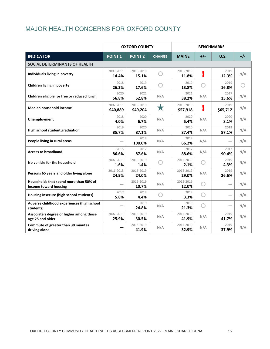#### MAJOR HEALTH CONCERNS FOR OXFORD COUNTY

|                                                                 |                       | <b>OXFORD COUNTY</b>  |               |                       |       | <b>BENCHMARKS</b> |       |
|-----------------------------------------------------------------|-----------------------|-----------------------|---------------|-----------------------|-------|-------------------|-------|
| <b>INDICATOR</b>                                                | <b>POINT 1</b>        | <b>POINT 2</b>        | <b>CHANGE</b> | <b>MAINE</b>          | $+/-$ | <b>U.S.</b>       | $+/-$ |
| SOCIAL DETERMINANTS OF HEALTH                                   |                       |                       |               |                       |       |                   |       |
| Individuals living in poverty                                   | 2009-2011<br>14.4%    | 2015-2019<br>15.1%    |               | 2015-2019<br>11.8%    | ÷     | 2019<br>12.3%     | N/A   |
| Children living in poverty                                      | 2018<br>26.3%         | 2019<br>17.6%         |               | 2019<br>13.8%         | 0     | 2019<br>16.8%     |       |
| Children eligible for free or reduced lunch                     | 2020<br>56.8%         | 2021<br>52.8%         | N/A           | 2021<br>38.2%         | N/A   | 2017<br>15.6%     | N/A   |
| <b>Median household income</b>                                  | 2007-2011<br>\$40,889 | 2015-2019<br>\$49,204 | ★             | 2015-2019<br>\$57,918 | ũ.    | 2019<br>\$65,712  | N/A   |
| Unemployment                                                    | 2018<br>4.0%          | 2020<br>6.7%          | N/A           | 2020<br>5.4%          | N/A   | 2020<br>8.1%      | N/A   |
| High school student graduation                                  | 2019<br>85.7%         | 2020<br>87.1%         | N/A           | 2020<br>87.4%         | N/A   | 2019<br>87.1%     | N/A   |
| People living in rural areas                                    |                       | 2019<br>100.0%        | N/A           | 2019<br>66.2%         | N/A   |                   | N/A   |
| <b>Access to broadband</b>                                      | 2015<br>86.6%         | 2017<br>87.6%         | N/A           | 2017<br>88.6%         | N/A   | 2017<br>90.4%     | N/A   |
| No vehicle for the household                                    | 2007-2011<br>1.6%     | 2015-2019<br>1.4%     |               | 2015-2019<br>2.1%     | O     | 2019<br>4.3%      | N/A   |
| Persons 65 years and older living alone                         | 2011-2015<br>24.9%    | 2015-2019<br>24.0%    | N/A           | 2015-2019<br>29.0%    | N/A   | 2019<br>26.6%     | N/A   |
| Households that spend more than 50% of<br>income toward housing |                       | 2015-2019<br>10.7%    | N/A           | 2015-2019<br>12.0%    |       |                   | N/A   |
| Housing insecure (high school students)                         | 2017<br>5.8%          | 2019<br>4.4%          |               | 2019<br>3.3%          |       |                   | N/A   |
| Adverse childhood experiences (high school<br>students)         |                       | 2019<br>24.8%         | N/A           | 2019<br>21.3%         | O     |                   | N/A   |
| Associate's degree or higher among those<br>age 25 and older    | 2007-2011<br>25.9%    | 2015-2019<br>30.5%    | N/A           | 2015-2019<br>41.9%    | N/A   | 2019<br>41.7%     | N/A   |
| Commute of greater than 30 minutes<br>driving alone             |                       | 2015-2019<br>41.9%    | N/A           | 2015-2019<br>32.9%    | N/A   | 2019<br>37.9%     | N/A   |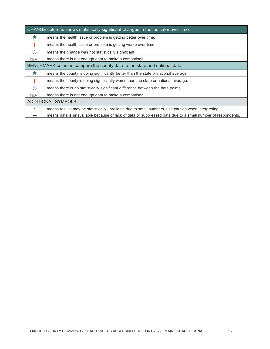|         | CHANGE columns shows statistically significant changes in the indicator over time.                         |
|---------|------------------------------------------------------------------------------------------------------------|
| ★       | means the health issue or problem is getting better over time.                                             |
|         | means the health issue or problem is getting worse over time.                                              |
| ∩       | means the change was not statistically significant.                                                        |
| N/A     | means there is not enough data to make a comparison.                                                       |
|         | BENCHMARK columns compare the county data to the state and national data.                                  |
| ★       | means the county is doing significantly better than the state or national average.                         |
|         | means the county is doing significantly worse than the state or national average.                          |
| O       | means there is no statistically significant difference between the data points.                            |
| N/A     | means there is not enough data to make a comparison.                                                       |
|         | <b>ADDITIONAL SYMBOLS</b>                                                                                  |
| $\star$ | means results may be statistically unreliable due to small numbers, use caution when interpreting.         |
|         | means data is unavailable because of lack of data or suppressed data due to a small number of respondents. |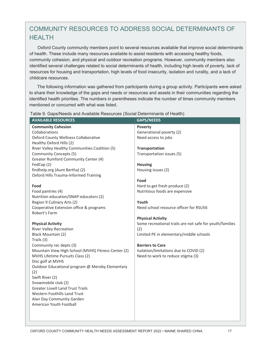#### COMMUNITY RESOURCES TO ADDRESS SOCIAL DETERMINANTS OF **HFAITH**

Oxford County community members point to several resources available that improve social determinants of health. These include many resources available to assist residents with accessing healthy foods, community cohesion, and physical and outdoor recreation programs. However, community members also identified several challenges related to social determinants of health, including high levels of poverty, lack of resources for housing and transportation, high levels of food insecurity, isolation and rurality, and a lack of childcare resources.

The following information was gathered from participants during a group activity. Participants were asked to share their knowledge of the gaps and needs or resources and assets in their communities regarding the identified health priorities. The numbers in parentheses indicate the number of times community members mentioned or concurred with what was listed.

| <b>AVAILABLE RESOURCES</b>                          | <b>GAPS/NEEDS</b>                                        |
|-----------------------------------------------------|----------------------------------------------------------|
| <b>Community Cohesion</b>                           | Poverty                                                  |
| Collaborations                                      | Generational poverty (2)                                 |
| <b>Oxford County Wellness Collaborative</b>         | Need access to jobs                                      |
| Healthy Oxford Hills (2)                            |                                                          |
| River Valley Healthy Communities Coalition (5)      | Transportation                                           |
| Community Concepts (5)                              | Transportation issues (5)                                |
| Greater Rumford Community Center (4)                |                                                          |
| FedCap (2)                                          | <b>Housing</b>                                           |
| findhelp.org (Aunt Bertha) (2)                      | Housing issues (2)                                       |
| Oxford Hills Trauma-Informed Training               |                                                          |
|                                                     | Food                                                     |
| Food                                                | Hard to get fresh produce (2)                            |
| Food pantries (4)                                   | Nutritious foods are expensive                           |
| Nutrition education/SNAP-educators (2)              |                                                          |
| Region 9 Culinary Arts (2)                          | Youth                                                    |
| Cooperative Extension office & programs             | Need school resource officer for RSU56                   |
| Robert's Farm                                       |                                                          |
|                                                     | <b>Physical Activity</b>                                 |
| <b>Physical Activity</b>                            | Some recreational trails are not safe for youth/families |
| <b>River Valley Recreation</b>                      | (2)                                                      |
| Black Mountain (2)                                  | Limited PE in elementary/middle schools                  |
| Trails (3)                                          |                                                          |
| Community rec depts (3)                             | <b>Barriers to Care</b>                                  |
| Mountain View High School (MVHS) Fitness Center (2) | Isolation/limitations due to COVID (2)                   |
| MVHS Lifetime Pursuits Class (2)                    | Need to work to reduce stigma (3)                        |
| Disc golf at MVHS                                   |                                                          |
| Outdoor Educational program @ Meroby Elementary     |                                                          |
| (2)<br>Swift River (2)                              |                                                          |
| Snowmobile club (2)                                 |                                                          |
| <b>Greater Lovell Land Trust Trails</b>             |                                                          |
| <b>Western Foothills Land Trust</b>                 |                                                          |
| Alan Day Community Garden                           |                                                          |
| American Youth Football                             |                                                          |
|                                                     |                                                          |
|                                                     |                                                          |

Table 9. Gaps/Needs and Available Resources (Social Determinants of Health)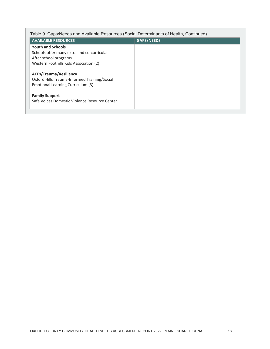| Table 9. Gaps/Needs and Available Resources (Social Determinants of Health, Continued)                             |                   |  |
|--------------------------------------------------------------------------------------------------------------------|-------------------|--|
| <b>AVAILABLE RESOURCES</b>                                                                                         | <b>GAPS/NEEDS</b> |  |
| <b>Youth and Schools</b>                                                                                           |                   |  |
| Schools offer many extra and co-curricular                                                                         |                   |  |
| After school programs                                                                                              |                   |  |
| Western Foothills Kids Association (2)                                                                             |                   |  |
| <b>ACEs/Trauma/Resiliency</b><br>Oxford Hills Trauma-Informed Training/Social<br>Emotional Learning Curriculum (3) |                   |  |
| <b>Family Support</b><br>Safe Voices Domestic Violence Resource Center                                             |                   |  |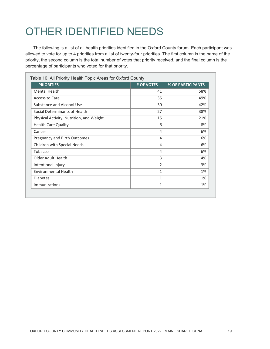## OTHER IDENTIFIED NEEDS

The following is a list of all health priorities identified in the Oxford County forum. Each participant was allowed to vote for up to 4 priorities from a list of twenty-four priorities. The first column is the name of the priority, the second column is the total number of votes that priority received, and the final column is the percentage of participants who voted for that priority.

| <b>PRIORITIES</b>                        | # OF VOTES     | <b>% OF PARTICIPANTS</b> |
|------------------------------------------|----------------|--------------------------|
| <b>Mental Health</b>                     | 41             | 58%                      |
| Access to Care                           | 35             | 49%                      |
| Substance and Alcohol Use                | 30             | 42%                      |
| Social Determinants of Health            | 27             | 38%                      |
| Physical Activity, Nutrition, and Weight | 15             | 21%                      |
| <b>Health Care Quality</b>               | 6              | 8%                       |
| Cancer                                   | 4              | 6%                       |
| Pregnancy and Birth Outcomes             | 4              | 6%                       |
| Children with Special Needs              | 4              | 6%                       |
| Tobacco                                  | 4              | 6%                       |
| Older Adult Health                       | 3              | 4%                       |
| Intentional Injury                       | $\overline{2}$ | 3%                       |
| <b>Environmental Health</b>              | 1              | 1%                       |
| <b>Diabetes</b>                          | 1              | 1%                       |
| <b>Immunizations</b>                     | 1              | 1%                       |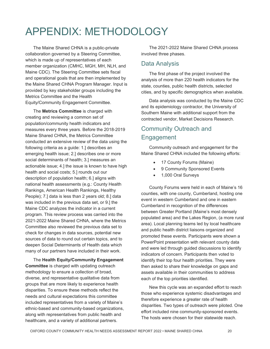## APPENDIX: METHODOLOGY

The Maine Shared CHNA is a public-private collaboration governed by a Steering Committee, which is made up of representatives of each member organization (CMHC, MGH, MH, NLH, and Maine CDC). The Steering Committee sets fiscal and operational goals that are then implemented by the Maine Shared CHNA Program Manager. Input is provided by key stakeholder groups including the Metrics Committee and the Health Equity/Community Engagement Committee.

The **Metrics Committee** is charged with creating and reviewing a common set of population/community health indicators and measures every three years. Before the 2018-2019 Maine Shared CHNA, the Metrics Committee conducted an extensive review of the data using the following criteria as a guide: 1.] describes an emerging health issue; 2.] describes one or more social determinants of health; 3.] measures an actionable issue; 4.] the issue is known to have high health and social costs; 5.] rounds out our description of population health; 6.] aligns with national health assessments (e.g.: County Health Rankings, American Health Rankings, Healthy People); 7.] data is less than 2 years old; 8.] data was included in the previous data set, or 9.] the Maine CDC analyzes the indicator in a current program. This review process was carried into the 2021-2022 Maine Shared CHNA, where the Metrics Committee also reviewed the previous data set to check for changes in data sources, potential new sources of data to round out certain topics, and to deepen Social Determinants of Health data which many of our partners have included in their work.

The **Health Equity/Community Engagement Committee** is charged with updating outreach methodology to ensure a collection of broad, diverse, and representative qualitative data from groups that are more likely to experience health disparities. To ensure these methods reflect the needs and cultural expectations this committee included representatives from a variety of Maine's ethnic-based and community-based organizations, along with representatives from public health and healthcare, and a variety of additional partners.

The 2021-2022 Maine Shared CHNA process involved three phases.

#### Data Analysis

The first phase of the project involved the analysis of more than 220 health indicators for the state, counties, public health districts, selected cities, and by specific demographics when available.

Data analysis was conducted by the Maine CDC and its epidemiology contractor, the University of Southern Maine with additional support from the contracted vendor, Market Decisions Research.

#### Community Outreach and Engagement

Community outreach and engagement for the Maine Shared CHNA included the following efforts:

- 17 County Forums (Maine)
- 9 Community Sponsored Events
- 1,000 Oral Surveys

County Forums were held in each of Maine's 16 counties, with one county, Cumberland, hosting one event in western Cumberland and one in eastern Cumberland in recognition of the differences between Greater Portland (Maine's most densely populated area) and the Lakes Region, (a more rural area). Local planning teams led by local healthcare and public health district liaisons organized and promoted these events. Participants were shown a PowerPoint presentation with relevant county data and were led through guided discussions to identify indicators of concern. Participants then voted to identify their top four health priorities. They were then asked to share their knowledge on gaps and assets available in their communities to address each of the top priorities identified.

New this cycle was an expanded effort to reach those who experience systemic disadvantages and therefore experience a greater rate of health disparities. Two types of outreach were piloted. One effort included nine community-sponsored events. The hosts were chosen for their statewide reach.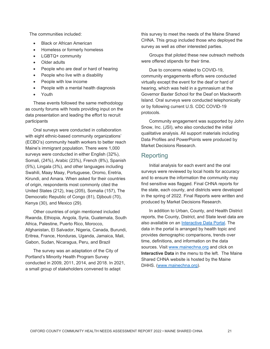The communities included:

- Black or African American
- Homeless or formerly homeless
- LGBTQ+ community
- Older adults
- People who are deaf or hard of hearing
- People who live with a disability
- People with low income
- People with a mental health diagnosis
- Youth

These events followed the same methodology as county forums with hosts providing input on the data presentation and leading the effort to recruit participants

Oral surveys were conducted in collaboration with eight ethnic-based community organizations' (ECBO's) community health workers to better reach Maine's immigrant population. There were 1,000 surveys were conducted in either English (32%), Somali, (24%), Arabic (23%), French (8%), Spanish (5%), Lingala (3%), and other languages including Swahili, Maay Maay, Portuguese, Oromo, Eretria, Kirundi, and Amara. When asked for their countries of origin, respondents most commonly cited the United States (212), Iraq (205), Somalia (157), The Democratic Republic of Congo (81), Djibouti (70), Kenya (30), and Mexico (29).

Other countries of origin mentioned included Rwanda, Ethiopia, Angola, Syria, Guatemala, South Africa, Palestine, Puerto Rico, Morocco, Afghanistan, El Salvador, Nigeria, Canada, Burundi, Eritrea, France, Honduras, Uganda, Jamaica, Mali, Gabon, Sudan, Nicaragua, Peru, and Brazil

The survey was an adaptation of the City of Portland's Minority Health Program Survey conducted in 2009, 2011, 2014, and 2018. In 2021, a small group of stakeholders convened to adapt

this survey to meet the needs of the Maine Shared CHNA. This group included those who deployed the survey as well as other interested parties.

Groups that piloted these new outreach methods were offered stipends for their time.

Due to concerns related to COVID-19, community engagements efforts were conducted virtually except the event for the deaf or hard of hearing, which was held in a gymnasium at the Governor Baxter School for the Deaf on Mackworth Island. Oral surveys were conducted telephonically or by following current U.S. CDC COVID-19 protocols.

Community engagement was supported by John Snow, Inc. (JSI), who also conducted the initial qualitative analysis. All support materials including Data Profiles and PowerPoints were produced by Market Decisions Research.

#### Reporting

Initial analysis for each event and the oral surveys were reviewed by local hosts for accuracy and to ensure the information the community may find sensitive was flagged. Final CHNA reports for the state, each county, and districts were developed in the spring of 2022. Final Reports were written and produced by Market Decisions Research.

In addition to Urban, County, and Health District reports, the County, District, and State level data are also available on an [Interactive Data Portal.](https://www.maine.gov/dhhs/mecdc/phdata/MaineCHNA/maine-interactive-health-data.shtml) The data in the portal is arranged by health topic and provides demographic comparisons, trends over time, definitions, and information on the data sources. Visit [www.mainechna.org](http://www.mainechna.org/) and click on **Interactive Data** in the menu to the left. The Maine Shared CHNA website is hosted by the Maine DHHS. [\(www.mainechna.org\)](http://www.mainechna.org/).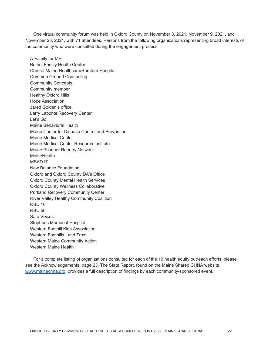One virtual community forum was held in Oxford County on November 3, 2021, November 9, 2021, and November 23, 2021, with 71 attendees. Persons from the following organizations representing broad interests of the community who were consulted during the engagement process:

A Family for ME Bethel Family Health Center Central Maine Healthcare/Rumford Hospital Common Ground Counseling Community Concepts Community member Healthy Oxford Hills Hope Association Jared Golden's office Larry Labonte Recovery Center Let's Go! Maine Behavioral Health Maine Center for Disease Control and Prevention Maine Medical Center Maine Medical Center Research Institute Maine Prisoner Reentry Network **MaineHealth** MSAD17 New Balance Foundation Oxford and Oxford County DA's Office Oxford County Mental Health Services Oxford County Wellness Collaborative Portland Recovery Community Center River Valley Healthy Community Coalition RSU 10 RSU 56 Safe Voices Stephens Memorial Hospital Western Foothill Kids Association Western Foothills Land Trust Western Maine Community Action Western Maine Health

For a complete listing of organizations consulted for each of the 10 health equity outreach efforts, please see the Acknowledgements, page 23. The State Report, found on the Maine Shared CHNA website, [www.mainechna.org,](http://www.mainechna.org/) provides a full description of findings by each community-sponsored event.